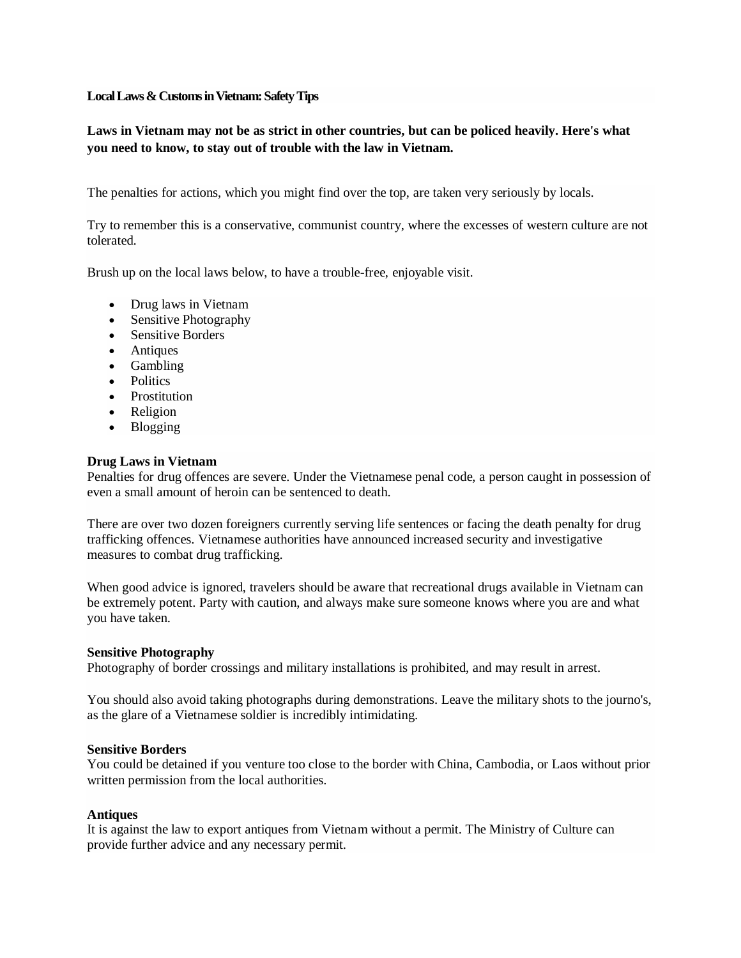# **Local Laws & Customs in Vietnam: Safety Tips**

# **Laws in Vietnam may not be as strict in other countries, but can be policed heavily. Here's what you need to know, to stay out of trouble with the law in Vietnam.**

The penalties for actions, which you might find over the top, are taken very seriously by locals.

Try to remember this is a conservative, communist country, where the excesses of western culture are not tolerated.

Brush up on the local laws below, to have a trouble-free, enjoyable visit.

- Drug laws in Vietnam
- Sensitive Photography
- Sensitive Borders
- Antiques
- Gambling
- Politics
- Prostitution
- Religion
- Blogging

# **Drug Laws in Vietnam**

Penalties for drug offences are severe. Under the Vietnamese penal code, a person caught in possession of even a small amount of heroin can be sentenced to death.

There are over two dozen foreigners currently serving life sentences or facing the death penalty for drug trafficking offences. Vietnamese authorities have announced increased security and investigative measures to combat drug trafficking.

When good advice is ignored, travelers should be aware that recreational drugs available in Vietnam can be extremely potent. Party with caution, and always make sure someone knows where you are and what you have taken.

#### **Sensitive Photography**

Photography of border crossings and military installations is prohibited, and may result in arrest.

You should also avoid taking photographs during demonstrations. Leave the military shots to the journo's, as the glare of a Vietnamese soldier is incredibly intimidating.

#### **Sensitive Borders**

You could be detained if you venture too close to the border with China, Cambodia, or Laos without prior written permission from the local authorities.

#### **Antiques**

It is against the law to export antiques from Vietnam without a permit. The Ministry of Culture can provide further advice and any necessary permit.